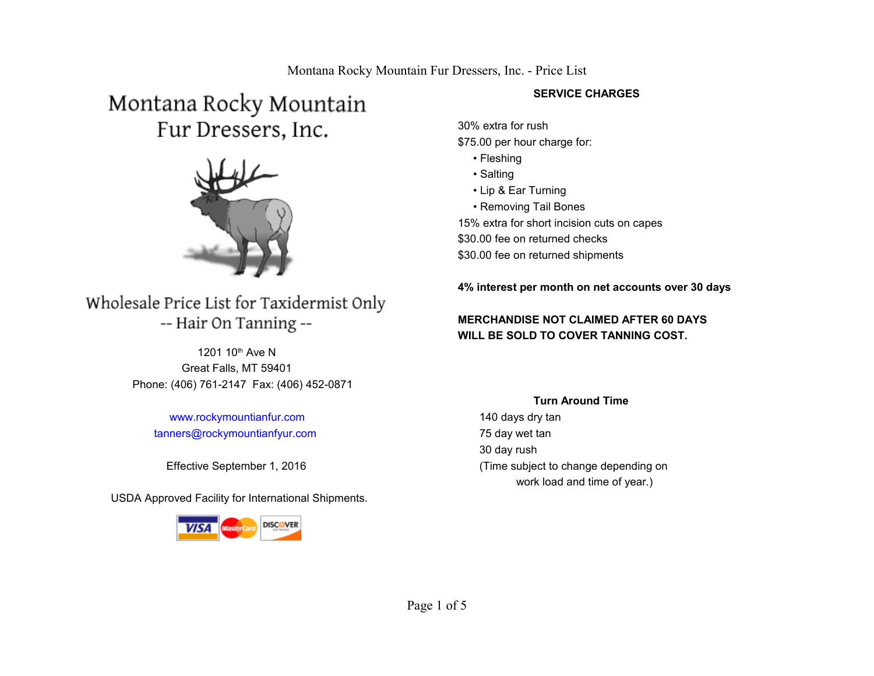# Montana Rocky Mountain Fur Dressers, Inc.



### Wholesale Price List for Taxidermist Only -- Hair On Tanning --

 Great Falls, MT 59401 Phone: (406) 761-2147 Fax: (406) 452-0871 1201 10<sup>th</sup> Ave N

 [www.rockymountianfur.com](http://www.rockymountianfur.com/)  [tanners@rockymountianfyur.com](mailto:tanners@rockymountianfyur.com)

USDA Approved Facility for International Shipments.



#### **SERVICE CHARGES**

30% extra for rush \$75.00 per hour charge for:

- Fleshing
- Salting
- Lip & Ear Turning
- Removing Tail Bones

15% extra for short incision cuts on capes \$30.00 fee on returned checks \$30.00 fee on returned shipments

**4% interest per month on net accounts over 30 days** 

### **MERCHANDISE NOT CLAIMED AFTER 60 DAYS WILL BE SOLD TO COVER TANNING COST.**

#### **Turn Around Time**

 140 days dry tan 75 day wet tan 30 day rush Effective September 1, 2016 (Time subject to change depending on work load and time of year.)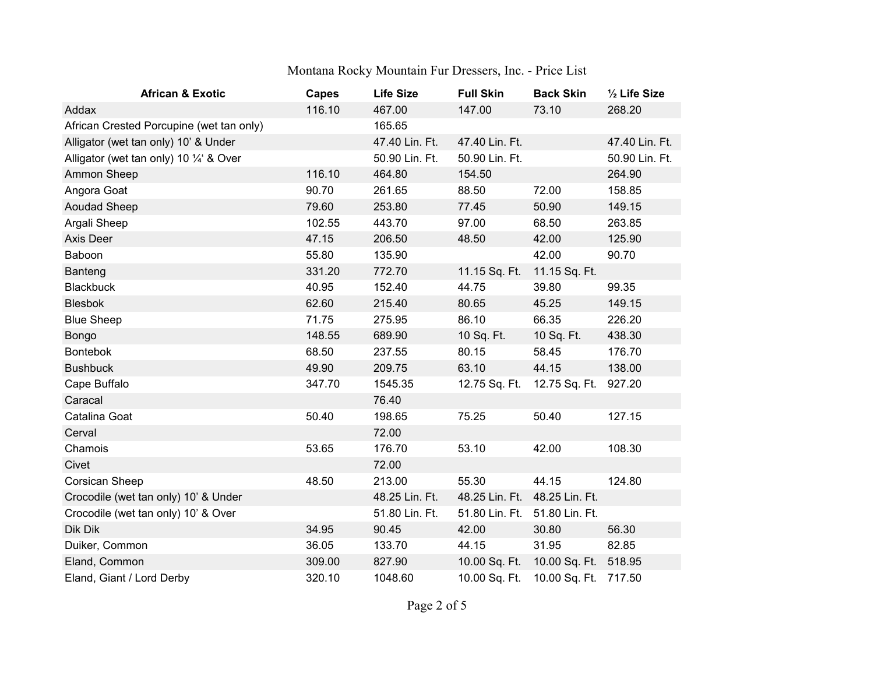| <b>African &amp; Exotic</b>              | Capes  | <b>Life Size</b> | <b>Full Skin</b>              | <b>Back Skin</b>     | 1/2 Life Size  |
|------------------------------------------|--------|------------------|-------------------------------|----------------------|----------------|
| Addax                                    | 116.10 | 467.00           | 147.00                        | 73.10                | 268.20         |
| African Crested Porcupine (wet tan only) |        | 165.65           |                               |                      |                |
| Alligator (wet tan only) 10' & Under     |        | 47.40 Lin. Ft.   | 47.40 Lin. Ft.                |                      | 47.40 Lin. Ft. |
| Alligator (wet tan only) 10 1/4' & Over  |        | 50.90 Lin. Ft.   | 50.90 Lin. Ft.                |                      | 50.90 Lin. Ft. |
| Ammon Sheep                              | 116.10 | 464.80           | 154.50                        |                      | 264.90         |
| Angora Goat                              | 90.70  | 261.65           | 88.50                         | 72.00                | 158.85         |
| Aoudad Sheep                             | 79.60  | 253.80           | 77.45                         | 50.90                | 149.15         |
| Argali Sheep                             | 102.55 | 443.70           | 97.00                         | 68.50                | 263.85         |
| Axis Deer                                | 47.15  | 206.50           | 48.50                         | 42.00                | 125.90         |
| Baboon                                   | 55.80  | 135.90           |                               | 42.00                | 90.70          |
| Banteng                                  | 331.20 | 772.70           | 11.15 Sq. Ft.                 | 11.15 Sq. Ft.        |                |
| <b>Blackbuck</b>                         | 40.95  | 152.40           | 44.75                         | 39.80                | 99.35          |
| <b>Blesbok</b>                           | 62.60  | 215.40           | 80.65                         | 45.25                | 149.15         |
| <b>Blue Sheep</b>                        | 71.75  | 275.95           | 86.10                         | 66.35                | 226.20         |
| Bongo                                    | 148.55 | 689.90           | 10 Sq. Ft.                    | 10 Sq. Ft.           | 438.30         |
| <b>Bontebok</b>                          | 68.50  | 237.55           | 80.15                         | 58.45                | 176.70         |
| <b>Bushbuck</b>                          | 49.90  | 209.75           | 63.10                         | 44.15                | 138.00         |
| Cape Buffalo                             | 347.70 | 1545.35          | 12.75 Sq. Ft.                 | 12.75 Sq. Ft.        | 927.20         |
| Caracal                                  |        | 76.40            |                               |                      |                |
| Catalina Goat                            | 50.40  | 198.65           | 75.25                         | 50.40                | 127.15         |
| Cerval                                   |        | 72.00            |                               |                      |                |
| Chamois                                  | 53.65  | 176.70           | 53.10                         | 42.00                | 108.30         |
| Civet                                    |        | 72.00            |                               |                      |                |
| Corsican Sheep                           | 48.50  | 213.00           | 55.30                         | 44.15                | 124.80         |
| Crocodile (wet tan only) 10' & Under     |        | 48.25 Lin. Ft.   | 48.25 Lin. Ft. 48.25 Lin. Ft. |                      |                |
| Crocodile (wet tan only) 10' & Over      |        | 51.80 Lin. Ft.   | 51.80 Lin. Ft. 51.80 Lin. Ft. |                      |                |
| Dik Dik                                  | 34.95  | 90.45            | 42.00                         | 30.80                | 56.30          |
| Duiker, Common                           | 36.05  | 133.70           | 44.15                         | 31.95                | 82.85          |
| Eland, Common                            | 309.00 | 827.90           | 10.00 Sq. Ft.                 | 10.00 Sq. Ft.        | 518.95         |
| Eland, Giant / Lord Derby                | 320.10 | 1048.60          | 10.00 Sq. Ft.                 | 10.00 Sq. Ft. 717.50 |                |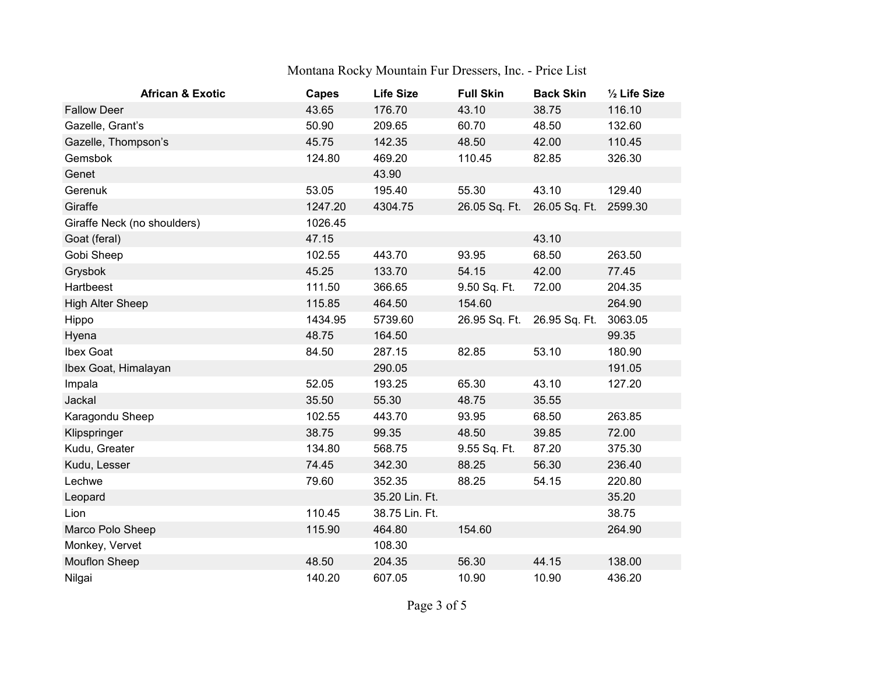| <b>African &amp; Exotic</b> | <b>Capes</b> | <b>Life Size</b> | <b>Full Skin</b> | <b>Back Skin</b> | 1/2 Life Size |
|-----------------------------|--------------|------------------|------------------|------------------|---------------|
| <b>Fallow Deer</b>          | 43.65        | 176.70           | 43.10            | 38.75            | 116.10        |
| Gazelle, Grant's            | 50.90        | 209.65           | 60.70            | 48.50            | 132.60        |
| Gazelle, Thompson's         | 45.75        | 142.35           | 48.50            | 42.00            | 110.45        |
| Gemsbok                     | 124.80       | 469.20           | 110.45           | 82.85            | 326.30        |
| Genet                       |              | 43.90            |                  |                  |               |
| Gerenuk                     | 53.05        | 195.40           | 55.30            | 43.10            | 129.40        |
| Giraffe                     | 1247.20      | 4304.75          | 26.05 Sq. Ft.    | 26.05 Sq. Ft.    | 2599.30       |
| Giraffe Neck (no shoulders) | 1026.45      |                  |                  |                  |               |
| Goat (feral)                | 47.15        |                  |                  | 43.10            |               |
| Gobi Sheep                  | 102.55       | 443.70           | 93.95            | 68.50            | 263.50        |
| Grysbok                     | 45.25        | 133.70           | 54.15            | 42.00            | 77.45         |
| Hartbeest                   | 111.50       | 366.65           | 9.50 Sq. Ft.     | 72.00            | 204.35        |
| <b>High Alter Sheep</b>     | 115.85       | 464.50           | 154.60           |                  | 264.90        |
| Hippo                       | 1434.95      | 5739.60          | 26.95 Sq. Ft.    | 26.95 Sq. Ft.    | 3063.05       |
| Hyena                       | 48.75        | 164.50           |                  |                  | 99.35         |
| Ibex Goat                   | 84.50        | 287.15           | 82.85            | 53.10            | 180.90        |
| Ibex Goat, Himalayan        |              | 290.05           |                  |                  | 191.05        |
| Impala                      | 52.05        | 193.25           | 65.30            | 43.10            | 127.20        |
| Jackal                      | 35.50        | 55.30            | 48.75            | 35.55            |               |
| Karagondu Sheep             | 102.55       | 443.70           | 93.95            | 68.50            | 263.85        |
| Klipspringer                | 38.75        | 99.35            | 48.50            | 39.85            | 72.00         |
| Kudu, Greater               | 134.80       | 568.75           | 9.55 Sq. Ft.     | 87.20            | 375.30        |
| Kudu, Lesser                | 74.45        | 342.30           | 88.25            | 56.30            | 236.40        |
| Lechwe                      | 79.60        | 352.35           | 88.25            | 54.15            | 220.80        |
| Leopard                     |              | 35.20 Lin. Ft.   |                  |                  | 35.20         |
| Lion                        | 110.45       | 38.75 Lin. Ft.   |                  |                  | 38.75         |
| Marco Polo Sheep            | 115.90       | 464.80           | 154.60           |                  | 264.90        |
| Monkey, Vervet              |              | 108.30           |                  |                  |               |
| <b>Mouflon Sheep</b>        | 48.50        | 204.35           | 56.30            | 44.15            | 138.00        |
| Nilgai                      | 140.20       | 607.05           | 10.90            | 10.90            | 436.20        |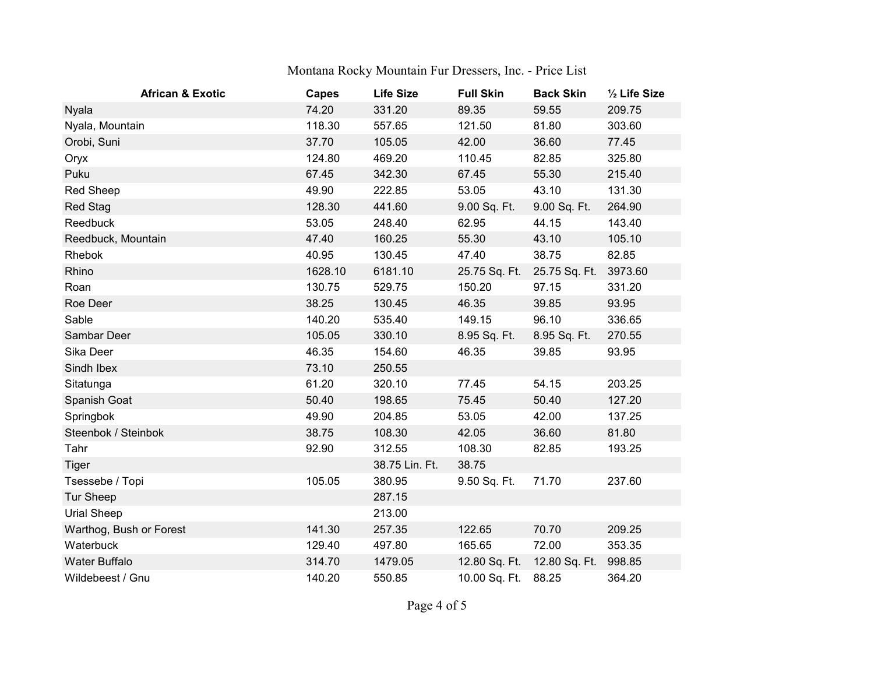| <b>African &amp; Exotic</b> | <b>Capes</b> | <b>Life Size</b> | <b>Full Skin</b> | <b>Back Skin</b>            | 1/2 Life Size |
|-----------------------------|--------------|------------------|------------------|-----------------------------|---------------|
| Nyala                       | 74.20        | 331.20           | 89.35            | 59.55                       | 209.75        |
| Nyala, Mountain             | 118.30       | 557.65           | 121.50           | 81.80                       | 303.60        |
| Orobi, Suni                 | 37.70        | 105.05           | 42.00            | 36.60                       | 77.45         |
| Oryx                        | 124.80       | 469.20           | 110.45           | 82.85                       | 325.80        |
| Puku                        | 67.45        | 342.30           | 67.45            | 55.30                       | 215.40        |
| <b>Red Sheep</b>            | 49.90        | 222.85           | 53.05            | 43.10                       | 131.30        |
| <b>Red Stag</b>             | 128.30       | 441.60           | 9.00 Sq. Ft.     | 9.00 Sq. Ft.                | 264.90        |
| Reedbuck                    | 53.05        | 248.40           | 62.95            | 44.15                       | 143.40        |
| Reedbuck, Mountain          | 47.40        | 160.25           | 55.30            | 43.10                       | 105.10        |
| Rhebok                      | 40.95        | 130.45           | 47.40            | 38.75                       | 82.85         |
| Rhino                       | 1628.10      | 6181.10          | 25.75 Sq. Ft.    | 25.75 Sq. Ft.               | 3973.60       |
| Roan                        | 130.75       | 529.75           | 150.20           | 97.15                       | 331.20        |
| Roe Deer                    | 38.25        | 130.45           | 46.35            | 39.85                       | 93.95         |
| Sable                       | 140.20       | 535.40           | 149.15           | 96.10                       | 336.65        |
| Sambar Deer                 | 105.05       | 330.10           | 8.95 Sq. Ft.     | 8.95 Sq. Ft.                | 270.55        |
| Sika Deer                   | 46.35        | 154.60           | 46.35            | 39.85                       | 93.95         |
| Sindh Ibex                  | 73.10        | 250.55           |                  |                             |               |
| Sitatunga                   | 61.20        | 320.10           | 77.45            | 54.15                       | 203.25        |
| Spanish Goat                | 50.40        | 198.65           | 75.45            | 50.40                       | 127.20        |
| Springbok                   | 49.90        | 204.85           | 53.05            | 42.00                       | 137.25        |
| Steenbok / Steinbok         | 38.75        | 108.30           | 42.05            | 36.60                       | 81.80         |
| Tahr                        | 92.90        | 312.55           | 108.30           | 82.85                       | 193.25        |
| <b>Tiger</b>                |              | 38.75 Lin. Ft.   | 38.75            |                             |               |
| Tsessebe / Topi             | 105.05       | 380.95           | 9.50 Sq. Ft.     | 71.70                       | 237.60        |
| <b>Tur Sheep</b>            |              | 287.15           |                  |                             |               |
| Urial Sheep                 |              | 213.00           |                  |                             |               |
| Warthog, Bush or Forest     | 141.30       | 257.35           | 122.65           | 70.70                       | 209.25        |
| Waterbuck                   | 129.40       | 497.80           | 165.65           | 72.00                       | 353.35        |
| Water Buffalo               | 314.70       | 1479.05          |                  | 12.80 Sq. Ft. 12.80 Sq. Ft. | 998.85        |
| Wildebeest / Gnu            | 140.20       | 550.85           | 10.00 Sq. Ft.    | 88.25                       | 364.20        |